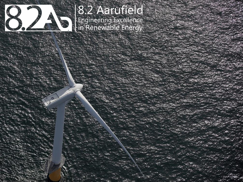

# 8.2 Aarufield 8.2 Adiunere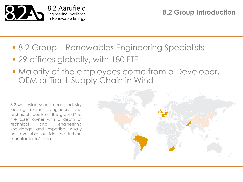

**8.2 Group Introduction**

- **8.2 Group Renewables Engineering Specialists**
- **29 offices globally, with 180 FTE**
- **Majority of the employees come from a Developer,** OEM or Tier 1 Supply Chain in Wind

8.2 was established to bring industry leading experts, engineers and technical "boots on the ground" to the asset owner with a depth of technical and engineering knowledge and expertise usually not available outside the turbine manufacturers' area.

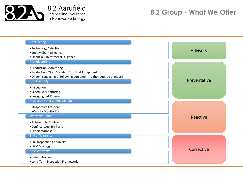

### **8.2 Group - What We Offer**

| Contracting<br>•Technology Selection<br>• Supply Chain Diligence   | Advisory     |
|--------------------------------------------------------------------|--------------|
| • Financial (Investment) Diligence                                 |              |
| Manufacturing                                                      |              |
| • Production Monitoring                                            |              |
| • Production "Gold Standard" for First Equipment                   |              |
| . Ongoing snagging of following equipment to the required standard |              |
| Pre-Assembly                                                       | Preventative |
| ·Inspection                                                        |              |
| • Schedule Monitoring                                              |              |
| • Snagging List Progress                                           |              |
| <b>Installation and Commissioning</b>                              |              |
| ·Inspectors Offshore                                               |              |
| . Quality Monitoring                                               |              |
| <b>Warranty Period</b>                                             | Reactive     |
| • Adhesion to Contract                                             |              |
| •Conflict Issue 3rd Party                                          |              |
| •Expert Witness                                                    |              |
| <b>End of Warranty</b>                                             |              |
| • Full Inspection Capability                                       |              |
| •O+M Strategy                                                      |              |
| Post-Warranty                                                      | Corrective   |
|                                                                    |              |
| •Defect Analysis                                                   |              |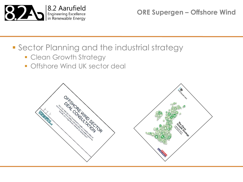

**ORE Supergen – Offshore Wind**

## **Sector Planning and the industrial strategy**

- **Clean Growth Strategy**
- **Offshore Wind UK sector deal**

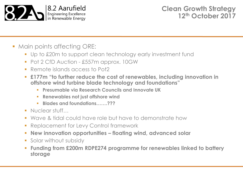

- Main points affecting ORE:
	- Up to £20m to support clean technology early investment fund
	- Pot 2 CfD Auction £557m approx. 10GW
	- Remote islands access to Pot2
	- **£177m "to further reduce the cost of renewables, including innovation in offshore wind turbine blade technology and foundations"**
		- **Presumable via Research Councils and Innovate UK**
		- **Renewables not just offshore wind**
		- **Blades and foundations…….???**
	- Nuclear stuff…
	- **Wave & tidal could have role but have to demonstrate how**
	- **Replacement for Levy Control framework**
	- **New innovation opportunities – floating wind, advanced solar**
	- **Solar without subsidy**
	- **Funding from £200m RDPE274 programme for renewables linked to battery storage**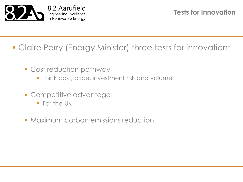

## Claire Perry (Energy Minister) three tests for innovation:

- Cost reduction pathway
	- **Think cost, price, investment risk and volume**
- **Competitive advantage** 
	- **For the UK**
- **Maximum carbon emissions reduction**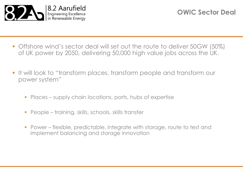

- Offshore wind's sector deal will set out the route to deliver 50GW (50%) of UK power by 2050, delivering 50,000 high value jobs across the UK.
- It will look to "transform places, transform people and transform our power system"
	- **Places supply chain locations, ports, hubs of expertise**
	- **People training, skills, schools, skills transfer**
	- Power flexible, predictable, integrate with storage, route to test and implement balancing and storage innovation